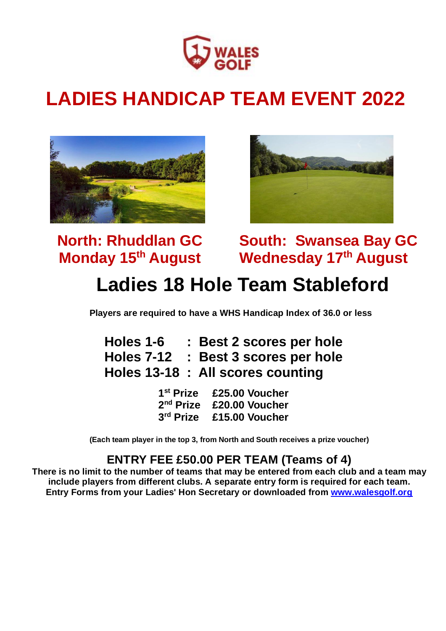

# **LADIES HANDICAP TEAM EVENT 2022**





 **Monday 15<sup>th</sup> August** 

**North: Rhuddlan GC South: Swansea Bay GC**

## **Ladies 18 Hole Team Stableford**

**Players are required to have a WHS Handicap Index of 36.0 or less**

| Holes 1-6 | : Best 2 scores per hole            |
|-----------|-------------------------------------|
|           | Holes 7-12 : Best 3 scores per hole |
|           | Holes 13-18 : All scores counting   |

1<sup>st</sup> Prize **st Prize £25.00 Voucher** 2<sup>nd</sup> Prize **nd Prize £20.00 Voucher** 3<sup>rd</sup> Prize **rd Prize £15.00 Voucher**

**(Each team player in the top 3, from North and South receives a prize voucher)**

#### **ENTRY FEE £50.00 PER TEAM (Teams of 4)**

**There is no limit to the number of teams that may be entered from each club and a team may include players from different clubs. A separate entry form is required for each team. Entry Forms from your Ladies' Hon Secretary or downloaded from [www.walesgolf.org](http://www.walesgolf.org/)**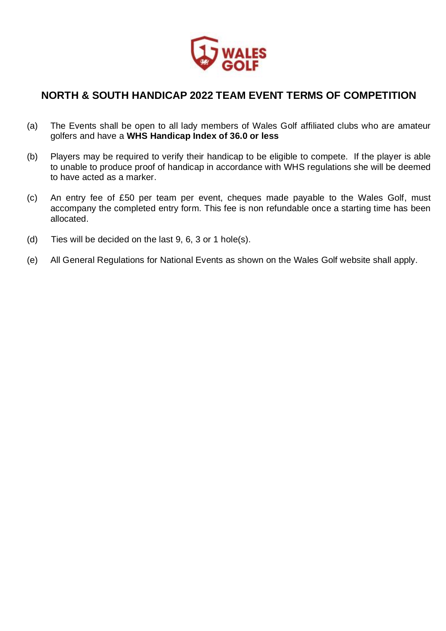

#### **NORTH & SOUTH HANDICAP 2022 TEAM EVENT TERMS OF COMPETITION**

- (a) The Events shall be open to all lady members of Wales Golf affiliated clubs who are amateur golfers and have a **WHS Handicap Index of 36.0 or less**
- (b) Players may be required to verify their handicap to be eligible to compete. If the player is able to unable to produce proof of handicap in accordance with WHS regulations she will be deemed to have acted as a marker.
- (c) An entry fee of £50 per team per event, cheques made payable to the Wales Golf, must accompany the completed entry form. This fee is non refundable once a starting time has been allocated.
- (d) Ties will be decided on the last 9, 6, 3 or 1 hole(s).
- (e) All General Regulations for National Events as shown on the Wales Golf website shall apply.